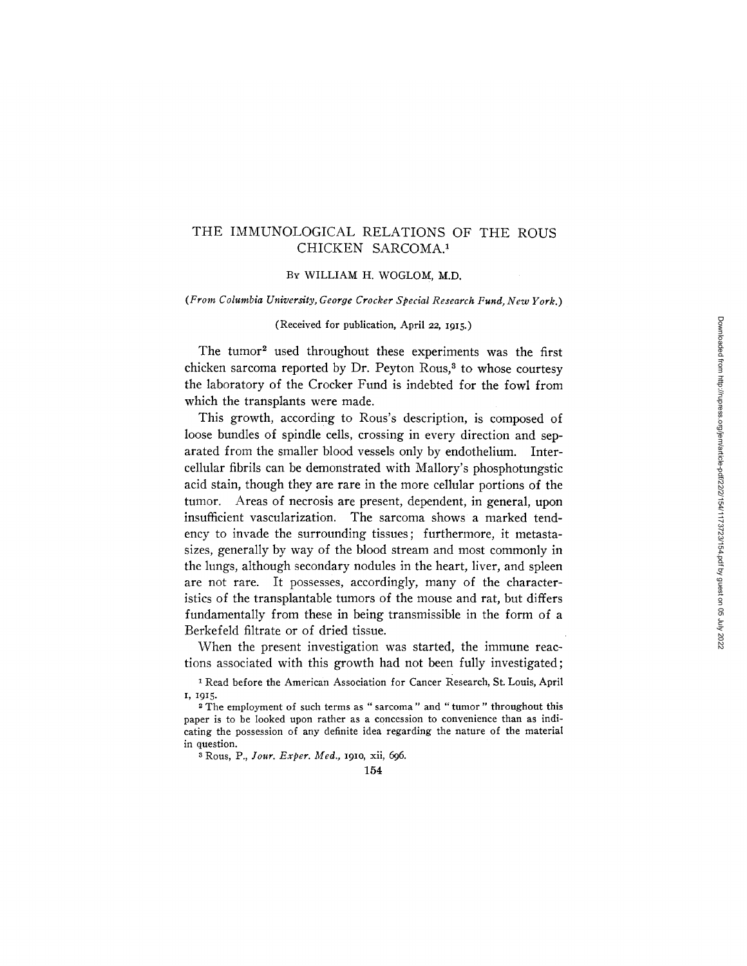# THE IMMUNOLOGICAL RELATIONS OF THE ROUS CHICKEN SARCOMA.<sup>1</sup>

### BY WILLIAM H. WOGLOM, M.D.

#### *(From Columbia University, George Crocker Special Research Fund, New York.)*

### (Received for publication, April 22, 1915.)

The tumor<sup>2</sup> used throughout these experiments was the first chicken sarcoma reported by Dr. Peyton Rous, $3$  to whose courtesy the laboratory of the Crocker Fund is indebted for the fowl from which the transplants were made.

This growth, according to Rous's description, is composed of loose bundles of spindle cells, crossing in every direction and separated from the smaller blood vessels only by endothelium. Intercellular fibrils can be demonstrated with Mallory's phosphotungstic acid stain, though they are rare in the more cellular portions of the tumor. Areas of necrosis are present, dependent, in general, upon insufficient vascularization. The sarcoma shows a marked tendency to invade the surrounding tissues; furthermore, it metastasizes, generally by way of the blood stream and most commonly in the lungs, although secondary nodules in the heart, liver, and spleen are not rare. It possesses, accordingly, many of the characteristics of the transplantable tumors of the mouse and rat, but differs fundamentally from these in being transmissible in the form of a Berkefeld filtrate or of dried tissue.

When the present investigation was started, the immune reactions associated with this growth had not been fully investigated;

1 Read before the American Association for Cancer Research, St. Louis, April I, I915.

2 The employment of such terms as " sarcoma" and "tumor" throughout this paper is to be looked upon rather as a concession to convenience than as indicating the possession of any definite idea regarding the nature of the material in question.

3 Rous, P., *lour. Exper. Med.,* 191o, xii, 696.

154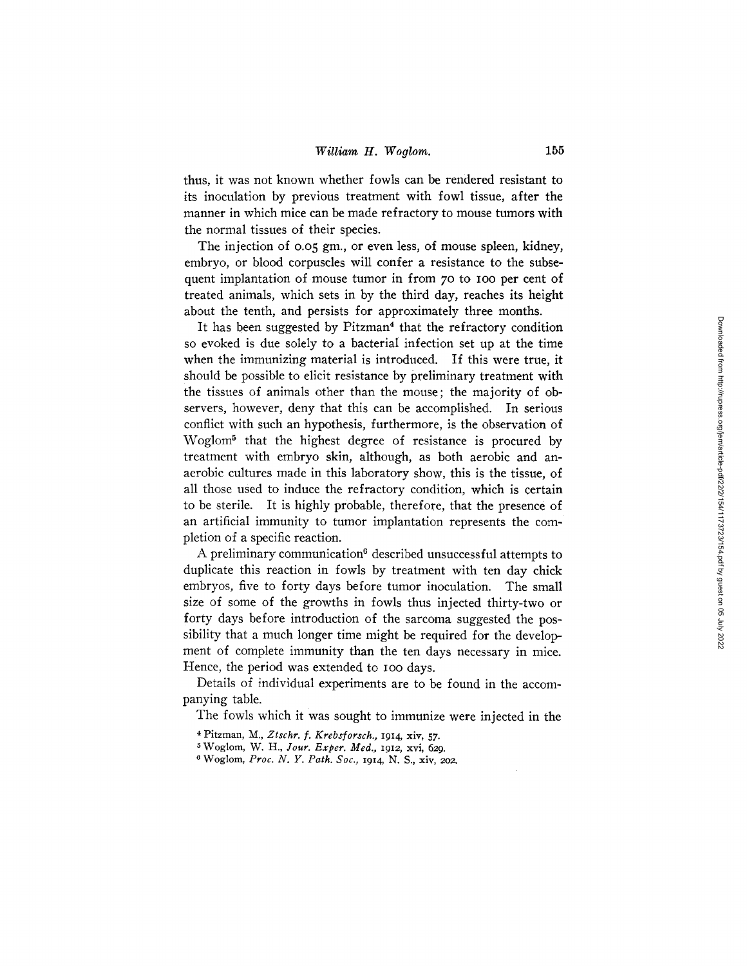thus, it was not known whether fowls can be rendered resistant to its inoculation by previous treatment with fowl tissue, after the manner in which mice can be made refractory to mouse tumors with the normal tissues of their species.

The injection of 0.05 gm., or even less, of mouse spleen, kidney, embryo, or blood corpuscles will confer a resistance to the subsequent implantation of mouse tumor in from 70 to 100 per cent of treated animals, which sets in by the third day, reaches its height about the tenth, and persists for approximately three months.

It has been suggested by  $Pitzman<sup>4</sup>$  that the refractory condition so evoked is due solely to a bacterial infection set up at the time when the immunizing material is introduced. If this were true, it should be possible to elicit resistance by preliminary treatment with the tissues of animals other than the mouse; the majority of observers, however, deny that this can be accomplished. In serious conflict with such an hypothesis, furthermore, is the observation of Woglom<sup>5</sup> that the highest degree of resistance is procured by treatment with embryo skin, although, as both aerobic and anaerobic cultures made in this laboratory show, this is the tissue, of all those used to induce the refractory condition, which is certain to be sterile. It is highly probable, therefore, that the presence of an artificial immunity to tumor implantation represents the completion of a specific reaction.

A preliminary communication $6$  described unsuccessful attempts to duplicate this reaction in fowls by treatment with ten day chick embryos, five to forty days before tumor inoculation. The small size of some of the growths in fowls thus injected thirty-two or forty days before introduction of the sarcoma suggested the possibility that a much longer time might be required for the development of complete immunity than the ten days necessary in mice. Hence, the period was extended to Ioo days.

Details of individual experiments are to be found in the accompanying table.

The fowls which it was sought to immunize were injected in the

- 4 Pitzman, M., *Ztschr. f. Krebsforsch.,* 1914, xiv, 57.
- 5 Woglom, W. H., *]our. Exper. Med.,* 1912 , xvi, *629.*
- 6 Woglom, *Proc. \_IV. Y. Path. Soc.,* 1914, N. S., xiv, 202.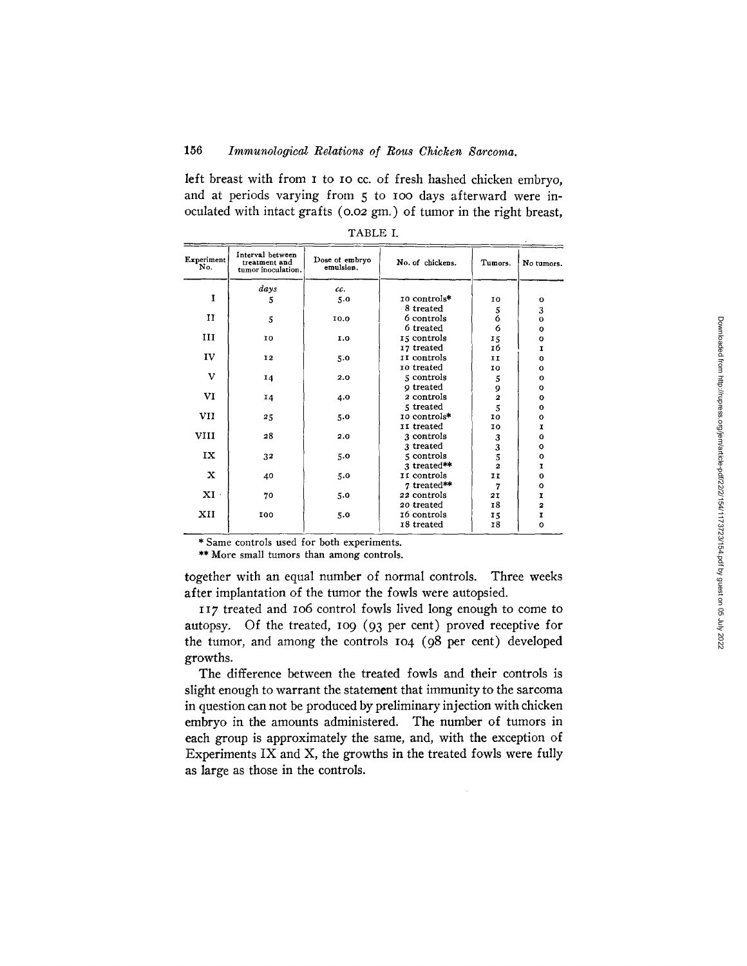## 156 *Immunological Relations of Rous Chicken Sarcoma.*

left breast with from I to IO cc. of fresh hashed chicken embryo, and at periods varying from 5 to Ioo days afterward were inoculated with intact grafts (o.o2 gm.) of tumor in the right breast,

| Experiment<br>No.         | Interval between<br>treatment and<br>tumor inoculation. | Dose of embryo<br>emulsion. | No. of chickens. | Tumors.        | No tumors.              |
|---------------------------|---------------------------------------------------------|-----------------------------|------------------|----------------|-------------------------|
|                           | days                                                    | cc.                         |                  |                |                         |
| I                         | 5                                                       | 5.0                         | 10 controls*     | 10             | 0                       |
|                           |                                                         |                             | 8 treated        | 5              | 3                       |
| п                         | 5                                                       | 10.0                        | 6 controls       | 6              | $\mathbf{o}$            |
|                           |                                                         |                             | 6 treated        | 6              | $\mathbf{o}$            |
| ш                         | 10                                                      | 1.0                         | 15 controls      | 15             | O                       |
|                           |                                                         |                             | 17 treated       | 16             | I                       |
| IV                        | <b>I2</b>                                               | 5.0                         | II controls      | II             | o                       |
|                           |                                                         |                             | 10 treated       | ΙO             | O                       |
| v                         | 14                                                      | 2.0                         | 5 controls       | 5              | 0                       |
|                           |                                                         |                             | o treated        | 9              | O                       |
| VI                        | 14                                                      | 4.0                         | 2 controls       | $\overline{2}$ | $\mathbf o$             |
|                           |                                                         |                             | 5 treated        | 5              | $\Omega$                |
| <b>VII</b>                | 25                                                      | 5.0                         | 10 controls*     | 10             | $\Omega$                |
|                           |                                                         |                             | II treated       | 10             | I                       |
| <b>VIII</b>               | 28                                                      | 2.0                         | 3 controls       | 3              | $\mathbf o$             |
|                           |                                                         |                             | 3 treated        | 3              | O                       |
| IX                        | 32                                                      | 5.0                         | 5 controls       | 5              | $\Omega$                |
|                           |                                                         |                             | 3 treated**      | $\overline{2}$ | r                       |
| $\mathbf x$               | 40                                                      | 5.0                         | II controls      | IΙ             | $\bf{o}$                |
|                           |                                                         |                             | 7 treated**      | 7              | $\Omega$                |
| $\mathbf{X} \mathbf{I}$ . | 70                                                      | 5.0                         | 22 controls      | 2I             | r                       |
|                           |                                                         |                             | 20 treated       | <b>18</b>      | $\overline{\mathbf{z}}$ |
| XII                       | 100                                                     | 5.0                         | 16 controls      | 15             | I                       |
|                           |                                                         |                             | 18 treated       | <b>18</b>      | o                       |

| ABLE |  |
|------|--|
|------|--|

\* Same controls used for both experiments.

\*\* More small tumors than among controls.

together with an equal number of normal controls. Three weeks after implantation of the tumor the fowls were autopsied.

117 treated and lO6 control fowls lived long enough to come to autopsy. Of the treated, 109 (93 per cent) proved receptive for the tumor, and among the controls  $I_{04}$  ( $98$  per cent) developed growths.

The difference between the treated fowls and their controls is slight enough to warrant the statement that immunity to the sarcoma in question can not be produced by preliminary injection with chicken embryo in the amounts administered. The number of tumors in each group is approximately the same, and, with the exception of Experiments IX and X, the growths in the treated fowls were fully as large as those in the controls.